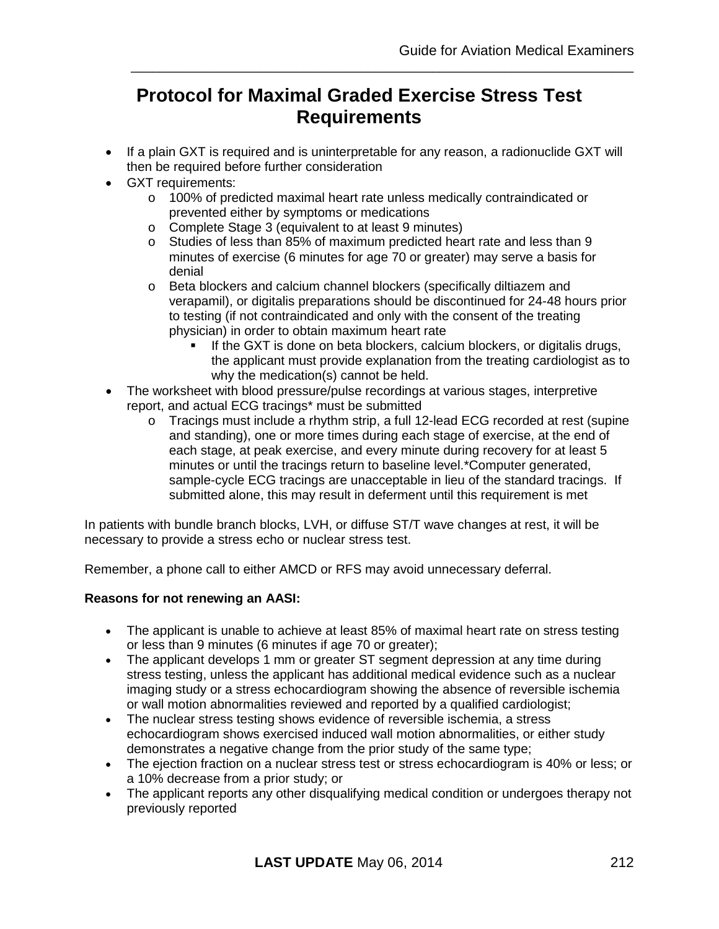## **Protocol for Maximal Graded Exercise Stress Test Requirements**

\_\_\_\_\_\_\_\_\_\_\_\_\_\_\_\_\_\_\_\_\_\_\_\_\_\_\_\_\_\_\_\_\_\_\_\_\_\_\_\_\_\_\_\_\_\_\_\_\_\_\_\_\_\_\_\_\_\_\_\_\_\_\_\_\_\_\_\_\_\_

- If a plain GXT is required and is uninterpretable for any reason, a radionuclide GXT will then be required before further consideration
- **GXT requirements:** 
	- o 100% of predicted maximal heart rate unless medically contraindicated or prevented either by symptoms or medications
	- Complete Stage 3 (equivalent to at least 9 minutes)<br>○ Studies of less than 85% of maximum predicted hea
	- Studies of less than 85% of maximum predicted heart rate and less than 9 minutes of exercise (6 minutes for age 70 or greater) may serve a basis for denial
	- o Beta blockers and calcium channel blockers (specifically diltiazem and verapamil), or digitalis preparations should be discontinued for 24-48 hours prior to testing (if not contraindicated and only with the consent of the treating physician) in order to obtain maximum heart rate
		- If the GXT is done on beta blockers, calcium blockers, or digitalis drugs, the applicant must provide explanation from the treating cardiologist as to why the medication(s) cannot be held.
- The worksheet with blood pressure/pulse recordings at various stages, interpretive report, and actual ECG tracings\* must be submitted
	- o Tracings must include a rhythm strip, a full 12-lead ECG recorded at rest (supine and standing), one or more times during each stage of exercise, at the end of each stage, at peak exercise, and every minute during recovery for at least 5 minutes or until the tracings return to baseline level.\*Computer generated, sample-cycle ECG tracings are unacceptable in lieu of the standard tracings. If submitted alone, this may result in deferment until this requirement is met

In patients with bundle branch blocks, LVH, or diffuse ST/T wave changes at rest, it will be necessary to provide a stress echo or nuclear stress test.

Remember, a phone call to either AMCD or RFS may avoid unnecessary deferral.

## **Reasons for not renewing an AASI:**

- The applicant is unable to achieve at least 85% of maximal heart rate on stress testing or less than 9 minutes (6 minutes if age 70 or greater);
- The applicant develops 1 mm or greater ST segment depression at any time during stress testing, unless the applicant has additional medical evidence such as a nuclear imaging study or a stress echocardiogram showing the absence of reversible ischemia or wall motion abnormalities reviewed and reported by a qualified cardiologist;
- The nuclear stress testing shows evidence of reversible ischemia, a stress echocardiogram shows exercised induced wall motion abnormalities, or either study demonstrates a negative change from the prior study of the same type;
- The ejection fraction on a nuclear stress test or stress echocardiogram is 40% or less; or a 10% decrease from a prior study; or
- The applicant reports any other disqualifying medical condition or undergoes therapy not previously reported